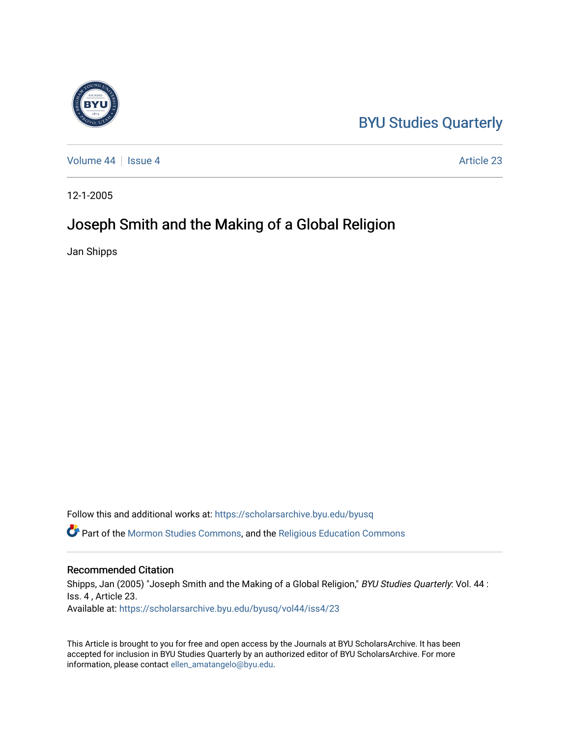# [BYU Studies Quarterly](https://scholarsarchive.byu.edu/byusq)

[Volume 44](https://scholarsarchive.byu.edu/byusq/vol44) | [Issue 4](https://scholarsarchive.byu.edu/byusq/vol44/iss4) Article 23

12-1-2005

# Joseph Smith and the Making of a Global Religion

Jan Shipps

Follow this and additional works at: [https://scholarsarchive.byu.edu/byusq](https://scholarsarchive.byu.edu/byusq?utm_source=scholarsarchive.byu.edu%2Fbyusq%2Fvol44%2Fiss4%2F23&utm_medium=PDF&utm_campaign=PDFCoverPages) 

Part of the [Mormon Studies Commons](http://network.bepress.com/hgg/discipline/1360?utm_source=scholarsarchive.byu.edu%2Fbyusq%2Fvol44%2Fiss4%2F23&utm_medium=PDF&utm_campaign=PDFCoverPages), and the [Religious Education Commons](http://network.bepress.com/hgg/discipline/1414?utm_source=scholarsarchive.byu.edu%2Fbyusq%2Fvol44%2Fiss4%2F23&utm_medium=PDF&utm_campaign=PDFCoverPages) 

## Recommended Citation

Shipps, Jan (2005) "Joseph Smith and the Making of a Global Religion," BYU Studies Quarterly: Vol. 44 : Iss. 4 , Article 23. Available at: [https://scholarsarchive.byu.edu/byusq/vol44/iss4/23](https://scholarsarchive.byu.edu/byusq/vol44/iss4/23?utm_source=scholarsarchive.byu.edu%2Fbyusq%2Fvol44%2Fiss4%2F23&utm_medium=PDF&utm_campaign=PDFCoverPages) 

This Article is brought to you for free and open access by the Journals at BYU ScholarsArchive. It has been accepted for inclusion in BYU Studies Quarterly by an authorized editor of BYU ScholarsArchive. For more information, please contact [ellen\\_amatangelo@byu.edu.](mailto:ellen_amatangelo@byu.edu)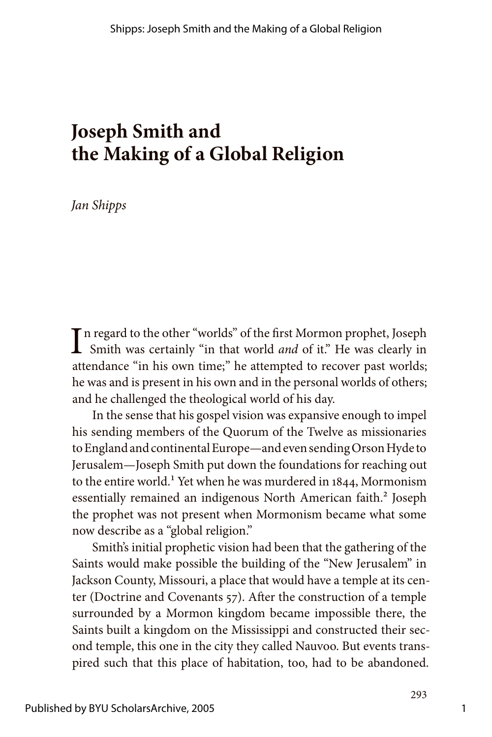# **Joseph Smith and the Making of a Global Religion**

*Jan Shipps*

In regard to the other "worlds" of the first Mormon prophet, Joseph Smith was certainly "in that world *and* of it." He was clearly in n regard to the other "worlds" of the first Mormon prophet, Joseph attendance "in his own time;" he attempted to recover past worlds; he was and is present in his own and in the personal worlds of others; and he challenged the theological world of his day.

 In the sense that his gospel vision was expansive enough to impel his sending members of the Quorum of the Twelve as missionaries to England and continental Europe—and even sending Orson Hyde to Jerusalem—Joseph Smith put down the foundations for reaching out to the entire world.<sup>1</sup> Yet when he was murdered in 1844, Mormonism essentially remained an indigenous North American faith.² Joseph the prophet was not present when Mormonism became what some now describe as a "global religion."

 Smith's initial prophetic vision had been that the gathering of the Saints would make possible the building of the "New Jerusalem" in Jackson County, Missouri, a place that would have a temple at its center (Doctrine and Covenants 57). After the construction of a temple surrounded by a Mormon kingdom became impossible there, the Saints built a kingdom on the Mississippi and constructed their second temple, this one in the city they called Nauvoo. But events transpired such that this place of habitation, too, had to be abandoned.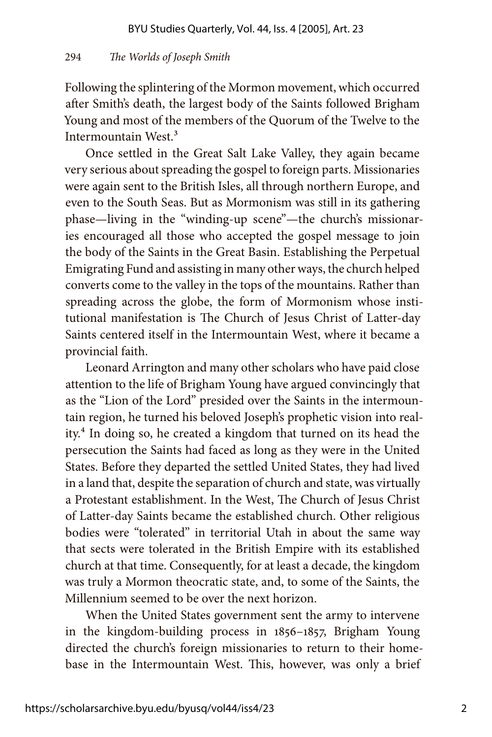Following the splintering of the Mormon movement, which occurred after Smith's death, the largest body of the Saints followed Brigham Young and most of the members of the Quorum of the Twelve to the Intermountain West.<sup>3</sup>

 Once settled in the Great Salt Lake Valley, they again became very serious about spreading the gospel to foreign parts. Missionaries were again sent to the British Isles, all through northern Europe, and even to the South Seas. But as Mormonism was still in its gathering phase—living in the "winding-up scene"—the church's missionaries encouraged all those who accepted the gospel message to join the body of the Saints in the Great Basin. Establishing the Perpetual Emigrating Fund and assisting in many other ways, the church helped converts come to the valley in the tops of the mountains. Rather than spreading across the globe, the form of Mormonism whose institutional manifestation is The Church of Jesus Christ of Latter-day Saints centered itself in the Intermountain West, where it became a provincial faith.

 Leonard Arrington and many other scholars who have paid close attention to the life of Brigham Young have argued convincingly that as the "Lion of the Lord" presided over the Saints in the intermountain region, he turned his beloved Joseph's prophetic vision into reality.<sup>4</sup> In doing so, he created a kingdom that turned on its head the persecution the Saints had faced as long as they were in the United States. Before they departed the settled United States, they had lived in a land that, despite the separation of church and state, was virtually a Protestant establishment. In the West, The Church of Jesus Christ of Latter-day Saints became the established church. Other religious bodies were "tolerated" in territorial Utah in about the same way that sects were tolerated in the British Empire with its established church at that time. Consequently, for at least a decade, the kingdom was truly a Mormon theocratic state, and, to some of the Saints, the Millennium seemed to be over the next horizon.

 When the United States government sent the army to intervene in the kingdom-building process in 1856-1857, Brigham Young directed the church's foreign missionaries to return to their homebase in the Intermountain West. This, however, was only a brief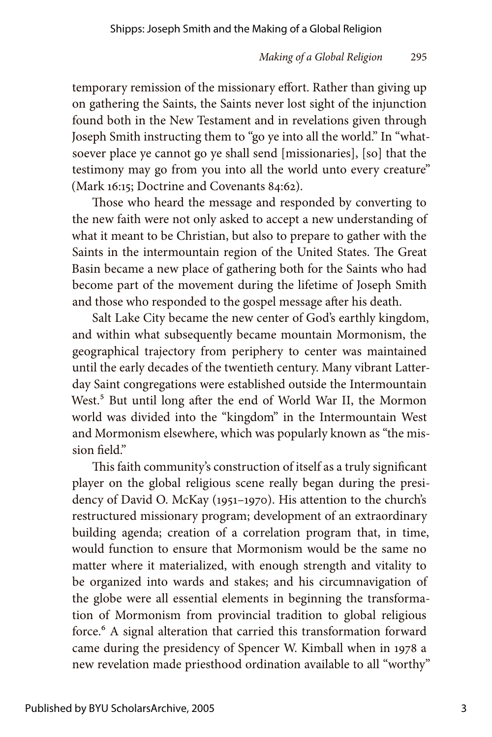temporary remission of the missionary effort. Rather than giving up on gathering the Saints, the Saints never lost sight of the injunction found both in the New Testament and in revelations given through Joseph Smith instructing them to "go ye into all the world." In "whatsoever place ye cannot go ye shall send [missionaries], [so] that the testimony may go from you into all the world unto every creature" (Mark 16:15; Doctrine and Covenants 84:62).

 Those who heard the message and responded by converting to the new faith were not only asked to accept a new understanding of what it meant to be Christian, but also to prepare to gather with the Saints in the intermountain region of the United States. The Great Basin became a new place of gathering both for the Saints who had become part of the movement during the lifetime of Joseph Smith and those who responded to the gospel message after his death.

 Salt Lake City became the new center of God's earthly kingdom, and within what subsequently became mountain Mormonism, the geographical trajectory from periphery to center was maintained until the early decades of the twentieth century. Many vibrant Latterday Saint congregations were established outside the Intermountain West.<sup>5</sup> But until long after the end of World War II, the Mormon world was divided into the "kingdom" in the Intermountain West and Mormonism elsewhere, which was popularly known as "the mission field"

 This faith community's construction of itself as a truly significant player on the global religious scene really began during the presidency of David O. McKay (1951–1970). His attention to the church's restructured missionary program; development of an extraordinary building agenda; creation of a correlation program that, in time, would function to ensure that Mormonism would be the same no matter where it materialized, with enough strength and vitality to be organized into wards and stakes; and his circumnavigation of the globe were all essential elements in beginning the transformation of Mormonism from provincial tradition to global religious force.<sup>6</sup> A signal alteration that carried this transformation forward came during the presidency of Spencer W. Kimball when in 1978 a new revelation made priesthood ordination available to all "worthy"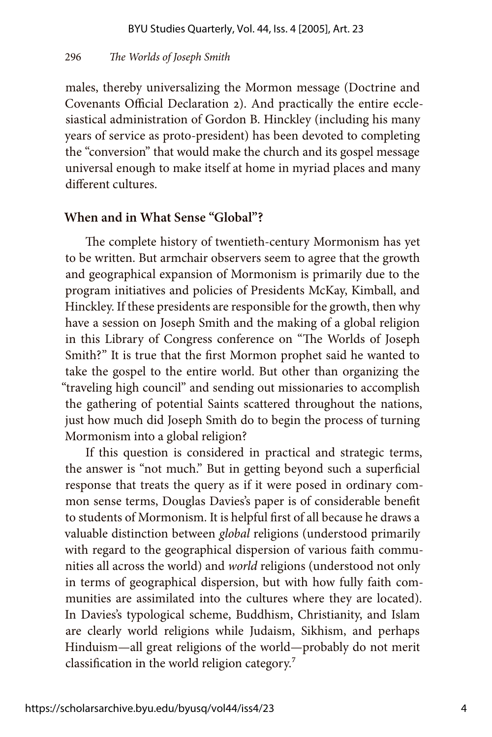males, thereby universalizing the Mormon message (Doctrine and Covenants Official Declaration 2). And practically the entire ecclesiastical administration of Gordon B. Hinckley (including his many years of service as proto-president) has been devoted to completing the "conversion" that would make the church and its gospel message universal enough to make itself at home in myriad places and many different cultures.

### **When and in What Sense "Global"?**

 The complete history of twentieth-century Mormonism has yet to be written. But armchair observers seem to agree that the growth and geographical expansion of Mormonism is primarily due to the program initiatives and policies of Presidents McKay, Kimball, and Hinckley. If these presidents are responsible for the growth, then why have a session on Joseph Smith and the making of a global religion in this Library of Congress conference on "The Worlds of Joseph Smith?" It is true that the first Mormon prophet said he wanted to take the gospel to the entire world. But other than organizing the "traveling high council" and sending out missionaries to accomplish the gathering of potential Saints scattered throughout the nations, just how much did Joseph Smith do to begin the process of turning Mormonism into a global religion?

 If this question is considered in practical and strategic terms, the answer is "not much." But in getting beyond such a superficial response that treats the query as if it were posed in ordinary common sense terms, Douglas Davies's paper is of considerable benefit to students of Mormonism. It is helpful first of all because he draws a valuable distinction between *global* religions (understood primarily with regard to the geographical dispersion of various faith communities all across the world) and *world* religions (understood not only in terms of geographical dispersion, but with how fully faith communities are assimilated into the cultures where they are located). In Davies's typological scheme, Buddhism, Christianity, and Islam are clearly world religions while Judaism, Sikhism, and perhaps Hinduism—all great religions of the world—probably do not merit classification in the world religion category.<sup>7</sup>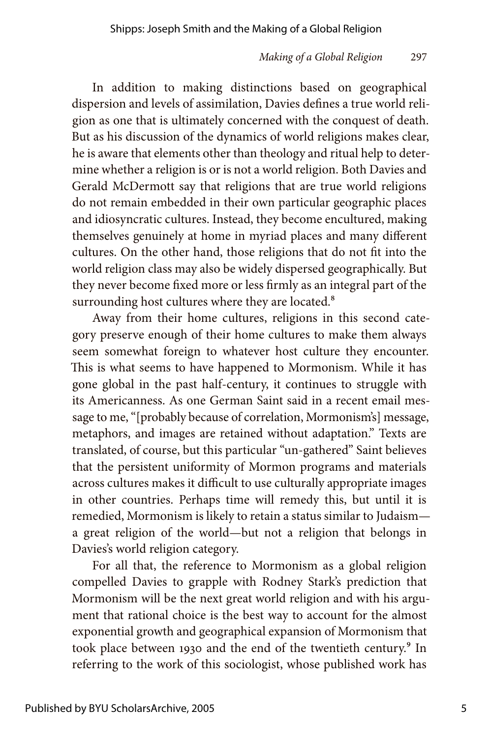In addition to making distinctions based on geographical dispersion and levels of assimilation, Davies defines a true world religion as one that is ultimately concerned with the conquest of death. But as his discussion of the dynamics of world religions makes clear, he is aware that elements other than theology and ritual help to determine whether a religion is or is not a world religion. Both Davies and Gerald McDermott say that religions that are true world religions do not remain embedded in their own particular geographic places and idiosyncratic cultures. Instead, they become encultured, making themselves genuinely at home in myriad places and many different cultures. On the other hand, those religions that do not fit into the world religion class may also be widely dispersed geographically. But they never become fixed more or less firmly as an integral part of the surrounding host cultures where they are located.<sup>8</sup>

 Away from their home cultures, religions in this second category preserve enough of their home cultures to make them always seem somewhat foreign to whatever host culture they encounter. This is what seems to have happened to Mormonism. While it has gone global in the past half-century, it continues to struggle with its Americanness. As one German Saint said in a recent email message to me, "[probably because of correlation, Mormonism's] message, metaphors, and images are retained without adaptation." Texts are translated, of course, but this particular "un-gathered" Saint believes that the persistent uniformity of Mormon programs and materials across cultures makes it difficult to use culturally appropriate images in other countries. Perhaps time will remedy this, but until it is remedied, Mormonism is likely to retain a status similar to Judaism a great religion of the world—but not a religion that belongs in Davies's world religion category.

 For all that, the reference to Mormonism as a global religion compelled Davies to grapple with Rodney Stark's prediction that Mormonism will be the next great world religion and with his argument that rational choice is the best way to account for the almost exponential growth and geographical expansion of Mormonism that took place between 1930 and the end of the twentieth century.<sup>9</sup> In referring to the work of this sociologist, whose published work has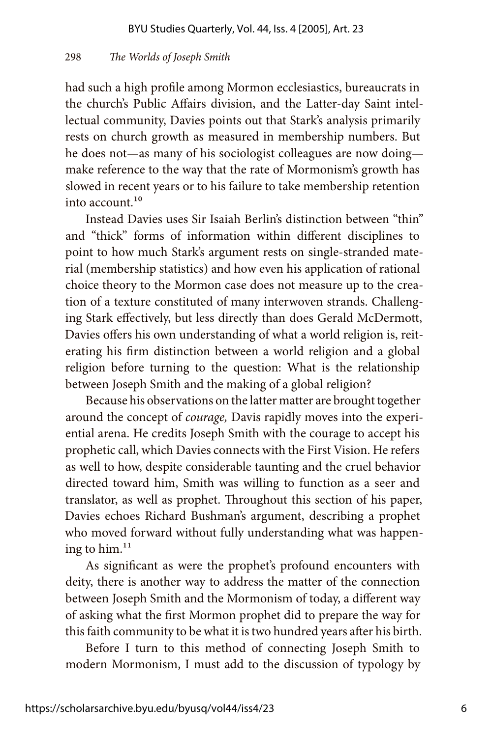had such a high profile among Mormon ecclesiastics, bureaucrats in the church's Public Affairs division, and the Latter-day Saint intellectual community, Davies points out that Stark's analysis primarily rests on church growth as measured in membership numbers. But he does not—as many of his sociologist colleagues are now doing make reference to the way that the rate of Mormonism's growth has slowed in recent years or to his failure to take membership retention into account. $10$ 

 Instead Davies uses Sir Isaiah Berlin's distinction between "thin" and "thick" forms of information within different disciplines to point to how much Stark's argument rests on single-stranded material (membership statistics) and how even his application of rational choice theory to the Mormon case does not measure up to the creation of a texture constituted of many interwoven strands. Challenging Stark effectively, but less directly than does Gerald McDermott, Davies offers his own understanding of what a world religion is, reiterating his firm distinction between a world religion and a global religion before turning to the question: What is the relationship between Joseph Smith and the making of a global religion?

 Because his observations on the latter matter are brought together around the concept of *courage,* Davis rapidly moves into the experiential arena. He credits Joseph Smith with the courage to accept his prophetic call, which Davies connects with the First Vision. He refers as well to how, despite considerable taunting and the cruel behavior directed toward him, Smith was willing to function as a seer and translator, as well as prophet. Throughout this section of his paper, Davies echoes Richard Bushman's argument, describing a prophet who moved forward without fully understanding what was happening to him. $^{11}$ 

 As significant as were the prophet's profound encounters with deity, there is another way to address the matter of the connection between Joseph Smith and the Mormonism of today, a different way of asking what the first Mormon prophet did to prepare the way for this faith community to be what it is two hundred years after his birth.

 Before I turn to this method of connecting Joseph Smith to modern Mormonism, I must add to the discussion of typology by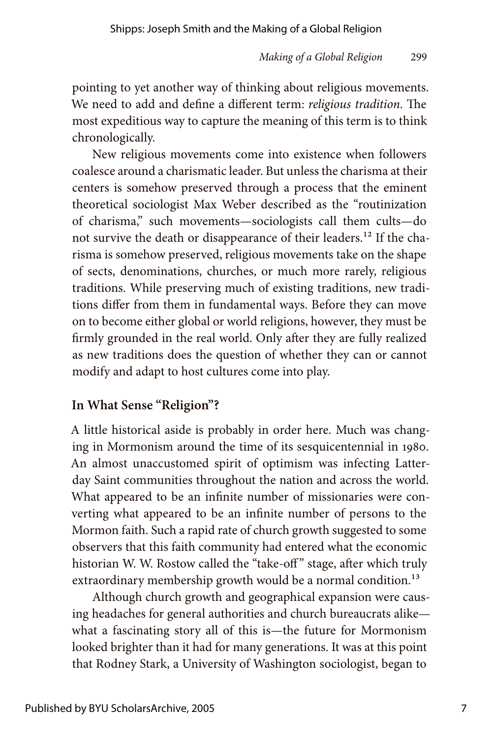pointing to yet another way of thinking about religious movements. We need to add and define a different term: *religious tradition*. The most expeditious way to capture the meaning of this term is to think chronologically.

 New religious movements come into existence when followers coalesce around a charismatic leader. But unless the charisma at their centers is somehow preserved through a process that the eminent theoretical sociologist Max Weber described as the "routinization of charisma," such movements—sociologists call them cults—do not survive the death or disappearance of their leaders.<sup>12</sup> If the charisma is somehow preserved, religious movements take on the shape of sects, denominations, churches, or much more rarely, religious traditions. While preserving much of existing traditions, new traditions differ from them in fundamental ways. Before they can move on to become either global or world religions, however, they must be firmly grounded in the real world. Only after they are fully realized as new traditions does the question of whether they can or cannot modify and adapt to host cultures come into play.

# **In What Sense "Religion"?**

A little historical aside is probably in order here. Much was changing in Mormonism around the time of its sesquicentennial in 1980. An almost unaccustomed spirit of optimism was infecting Latterday Saint communities throughout the nation and across the world. What appeared to be an infinite number of missionaries were converting what appeared to be an infinite number of persons to the Mormon faith. Such a rapid rate of church growth suggested to some observers that this faith community had entered what the economic historian W. W. Rostow called the "take-off" stage, after which truly extraordinary membership growth would be a normal condition.<sup>13</sup>

 Although church growth and geographical expansion were causing headaches for general authorities and church bureaucrats alike what a fascinating story all of this is—the future for Mormonism looked brighter than it had for many generations. It was at this point that Rodney Stark, a University of Washington sociologist, began to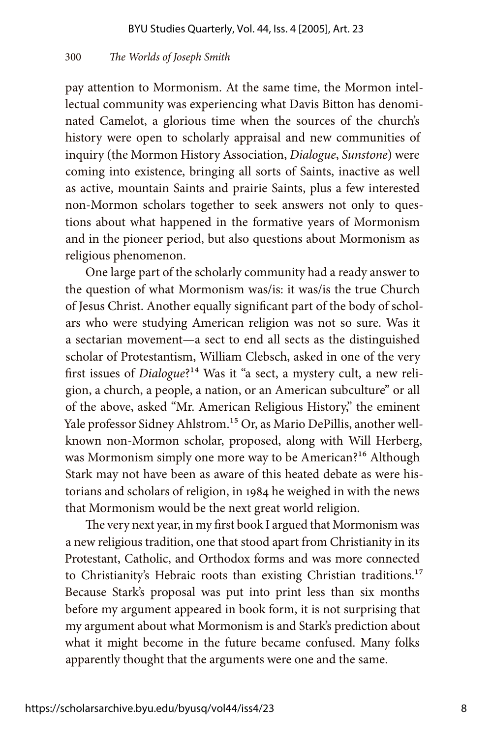pay attention to Mormonism. At the same time, the Mormon intellectual community was experiencing what Davis Bitton has denominated Camelot, a glorious time when the sources of the church's history were open to scholarly appraisal and new communities of inquiry (the Mormon History Association, *Dialogue*, *Sunstone*) were coming into existence, bringing all sorts of Saints, inactive as well as active, mountain Saints and prairie Saints, plus a few interested non-Mormon scholars together to seek answers not only to questions about what happened in the formative years of Mormonism and in the pioneer period, but also questions about Mormonism as religious phenomenon.

 One large part of the scholarly community had a ready answer to the question of what Mormonism was/is: it was/is the true Church of Jesus Christ. Another equally significant part of the body of scholars who were studying American religion was not so sure. Was it a sectarian movement—a sect to end all sects as the distinguished scholar of Protestantism, William Clebsch, asked in one of the very first issues of *Dialogue*?<sup>14</sup> Was it "a sect, a mystery cult, a new religion, a church, a people, a nation, or an American subculture" or all of the above, asked "Mr. American Religious History," the eminent Yale professor Sidney Ahlstrom.<sup>15</sup> Or, as Mario DePillis, another wellknown non-Mormon scholar, proposed, along with Will Herberg, was Mormonism simply one more way to be American?<sup>16</sup> Although Stark may not have been as aware of this heated debate as were historians and scholars of religion, in 984 he weighed in with the news that Mormonism would be the next great world religion.

 The very next year, in my first book I argued that Mormonism was a new religious tradition, one that stood apart from Christianity in its Protestant, Catholic, and Orthodox forms and was more connected to Christianity's Hebraic roots than existing Christian traditions.<sup>17</sup> Because Stark's proposal was put into print less than six months before my argument appeared in book form, it is not surprising that my argument about what Mormonism is and Stark's prediction about what it might become in the future became confused. Many folks apparently thought that the arguments were one and the same.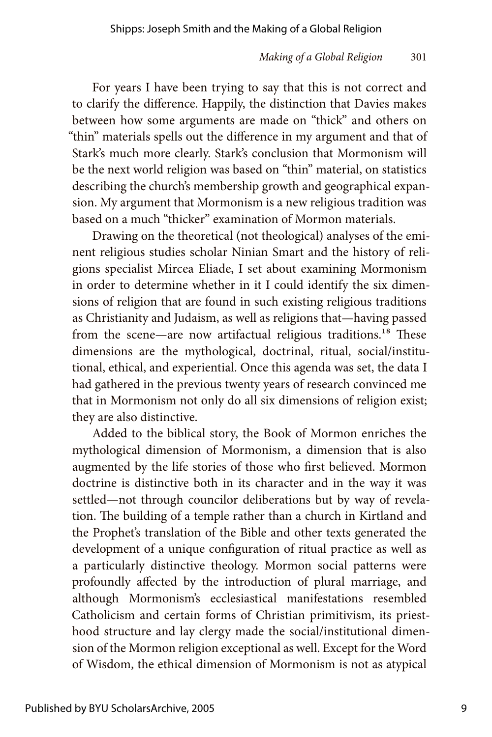For years I have been trying to say that this is not correct and to clarify the difference. Happily, the distinction that Davies makes between how some arguments are made on "thick" and others on "thin" materials spells out the difference in my argument and that of Stark's much more clearly. Stark's conclusion that Mormonism will be the next world religion was based on "thin" material, on statistics describing the church's membership growth and geographical expansion. My argument that Mormonism is a new religious tradition was based on a much "thicker" examination of Mormon materials.

 Drawing on the theoretical (not theological) analyses of the eminent religious studies scholar Ninian Smart and the history of religions specialist Mircea Eliade, I set about examining Mormonism in order to determine whether in it I could identify the six dimensions of religion that are found in such existing religious traditions as Christianity and Judaism, as well as religions that—having passed from the scene—are now artifactual religious traditions.<sup>18</sup> These dimensions are the mythological, doctrinal, ritual, social/institutional, ethical, and experiential. Once this agenda was set, the data I had gathered in the previous twenty years of research convinced me that in Mormonism not only do all six dimensions of religion exist; they are also distinctive.

 Added to the biblical story, the Book of Mormon enriches the mythological dimension of Mormonism, a dimension that is also augmented by the life stories of those who first believed. Mormon doctrine is distinctive both in its character and in the way it was settled—not through councilor deliberations but by way of revelation. The building of a temple rather than a church in Kirtland and the Prophet's translation of the Bible and other texts generated the development of a unique configuration of ritual practice as well as a particularly distinctive theology. Mormon social patterns were profoundly affected by the introduction of plural marriage, and although Mormonism's ecclesiastical manifestations resembled Catholicism and certain forms of Christian primitivism, its priesthood structure and lay clergy made the social/institutional dimension of the Mormon religion exceptional as well. Except for the Word of Wisdom, the ethical dimension of Mormonism is not as atypical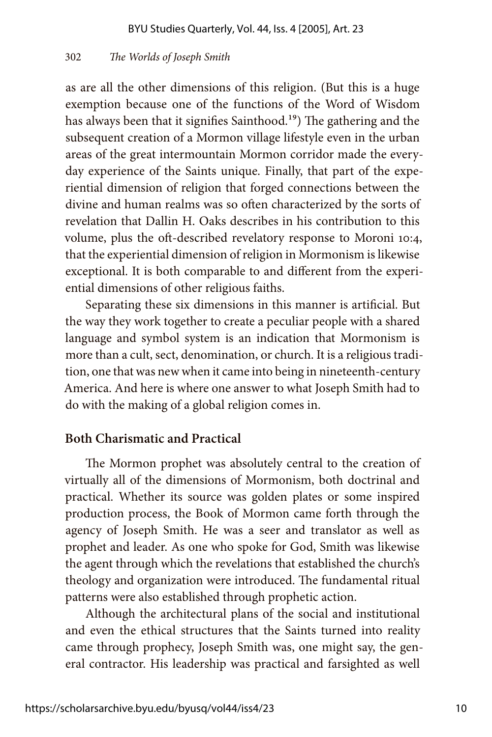as are all the other dimensions of this religion. (But this is a huge exemption because one of the functions of the Word of Wisdom has always been that it signifies Sainthood.<sup>19</sup>) The gathering and the subsequent creation of a Mormon village lifestyle even in the urban areas of the great intermountain Mormon corridor made the everyday experience of the Saints unique. Finally, that part of the experiential dimension of religion that forged connections between the divine and human realms was so often characterized by the sorts of revelation that Dallin H. Oaks describes in his contribution to this volume, plus the oft-described revelatory response to Moroni 0:4, that the experiential dimension of religion in Mormonism is likewise exceptional. It is both comparable to and different from the experiential dimensions of other religious faiths.

 Separating these six dimensions in this manner is artificial. But the way they work together to create a peculiar people with a shared language and symbol system is an indication that Mormonism is more than a cult, sect, denomination, or church. It is a religious tradition, one that was new when it came into being in nineteenth-century America. And here is where one answer to what Joseph Smith had to do with the making of a global religion comes in.

### **Both Charismatic and Practical**

 The Mormon prophet was absolutely central to the creation of virtually all of the dimensions of Mormonism, both doctrinal and practical. Whether its source was golden plates or some inspired production process, the Book of Mormon came forth through the agency of Joseph Smith. He was a seer and translator as well as prophet and leader. As one who spoke for God, Smith was likewise the agent through which the revelations that established the church's theology and organization were introduced. The fundamental ritual patterns were also established through prophetic action.

 Although the architectural plans of the social and institutional and even the ethical structures that the Saints turned into reality came through prophecy, Joseph Smith was, one might say, the general contractor. His leadership was practical and farsighted as well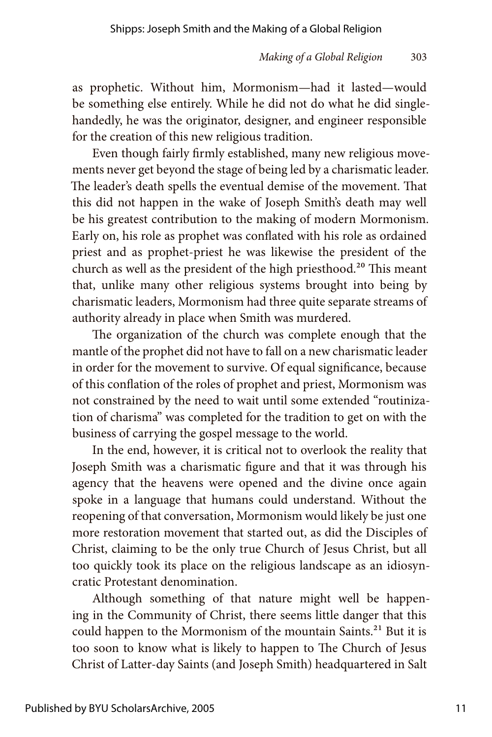as prophetic. Without him, Mormonism—had it lasted—would be something else entirely. While he did not do what he did singlehandedly, he was the originator, designer, and engineer responsible for the creation of this new religious tradition.

 Even though fairly firmly established, many new religious movements never get beyond the stage of being led by a charismatic leader. The leader's death spells the eventual demise of the movement. That this did not happen in the wake of Joseph Smith's death may well be his greatest contribution to the making of modern Mormonism. Early on, his role as prophet was conflated with his role as ordained priest and as prophet-priest he was likewise the president of the church as well as the president of the high priesthood.<sup>20</sup> This meant that, unlike many other religious systems brought into being by charismatic leaders, Mormonism had three quite separate streams of authority already in place when Smith was murdered.

 The organization of the church was complete enough that the mantle of the prophet did not have to fall on a new charismatic leader in order for the movement to survive. Of equal significance, because of this conflation of the roles of prophet and priest, Mormonism was not constrained by the need to wait until some extended "routinization of charisma" was completed for the tradition to get on with the business of carrying the gospel message to the world.

 In the end, however, it is critical not to overlook the reality that Joseph Smith was a charismatic figure and that it was through his agency that the heavens were opened and the divine once again spoke in a language that humans could understand. Without the reopening of that conversation, Mormonism would likely be just one more restoration movement that started out, as did the Disciples of Christ, claiming to be the only true Church of Jesus Christ, but all too quickly took its place on the religious landscape as an idiosyncratic Protestant denomination.

 Although something of that nature might well be happening in the Community of Christ, there seems little danger that this could happen to the Mormonism of the mountain Saints.<sup>21</sup> But it is too soon to know what is likely to happen to The Church of Jesus Christ of Latter-day Saints (and Joseph Smith) headquartered in Salt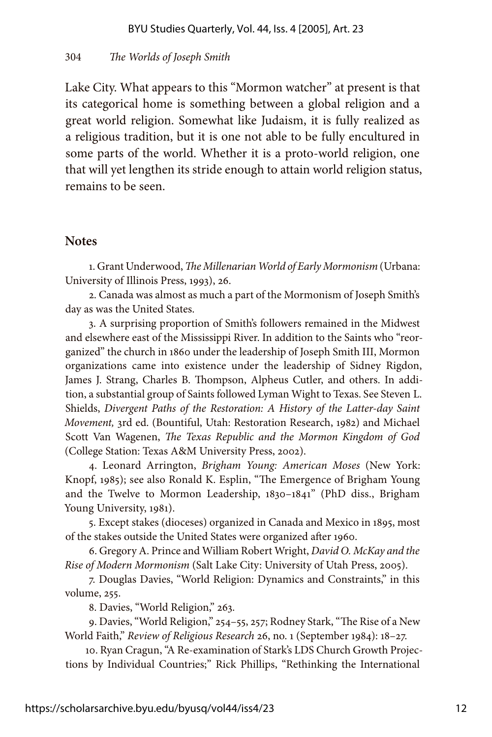Lake City. What appears to this "Mormon watcher" at present is that its categorical home is something between a global religion and a great world religion. Somewhat like Judaism, it is fully realized as a religious tradition, but it is one not able to be fully encultured in some parts of the world. Whether it is a proto-world religion, one that will yet lengthen its stride enough to attain world religion status, remains to be seen.

### **Notes**

 . Grant Underwood, *The Millenarian World of Early Mormonism* (Urbana: University of Illinois Press, 1993), 26.

 2. Canada was almost as much a part of the Mormonism of Joseph Smith's day as was the United States.

 3. A surprising proportion of Smith's followers remained in the Midwest and elsewhere east of the Mississippi River. In addition to the Saints who "reorganized" the church in 1860 under the leadership of Joseph Smith III, Mormon organizations came into existence under the leadership of Sidney Rigdon, James J. Strang, Charles B. Thompson, Alpheus Cutler, and others. In addition, a substantial group of Saints followed Lyman Wight to Texas. See Steven L. Shields, *Divergent Paths of the Restoration: A History of the Latter-day Saint Movement, 3rd ed. (Bountiful, Utah: Restoration Research, 1982) and Michael* Scott Van Wagenen, *The Texas Republic and the Mormon Kingdom of God*  (College Station: Texas A&M University Press, 2002).

 4. Leonard Arrington, *Brigham Young: American Moses* (New York: Knopf, 985); see also Ronald K. Esplin, "The Emergence of Brigham Young and the Twelve to Mormon Leadership, 1830-1841" (PhD diss., Brigham Young University, 1981).

5. Except stakes (dioceses) organized in Canada and Mexico in 1895, most of the stakes outside the United States were organized after 1960.

 6. Gregory A. Prince and William Robert Wright, *David O. McKay and the Rise of Modern Mormonism* (Salt Lake City: University of Utah Press, 2005).

 7. Douglas Davies, "World Religion: Dynamics and Constraints," in this volume, 255.

8. Davies, "World Religion," 263.

 9. Davies, "World Religion," 254–55, 257; Rodney Stark, "The Rise of a New World Faith," *Review of Religious Research* 26, no. 1 (September 1984): 18-27.

 0. Ryan Cragun, "A Re-examination of Stark's LDS Church Growth Projections by Individual Countries;" Rick Phillips, "Rethinking the International